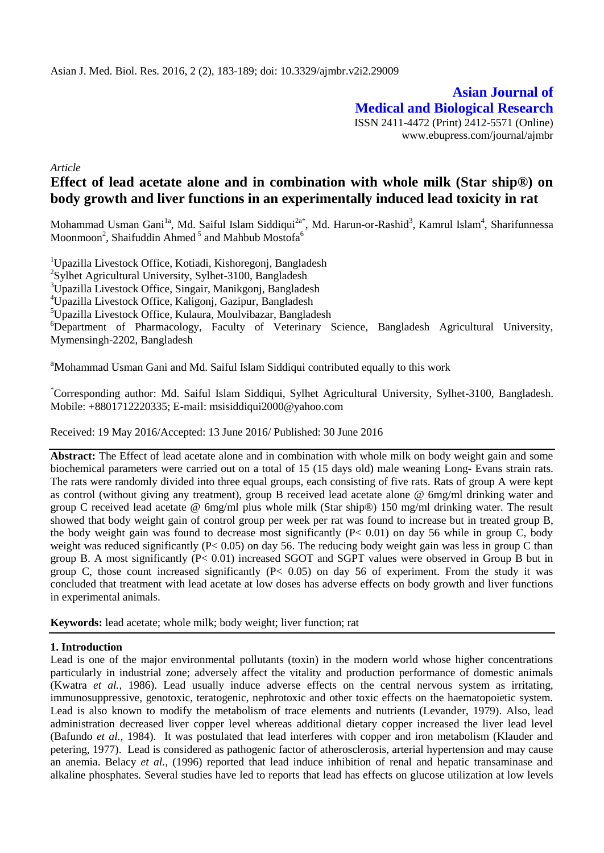**Asian Journal of Medical and Biological Research** ISSN 2411-4472 (Print) 2412-5571 (Online) www.ebupress.com/journal/ajmbr

*Article*

# **Effect of lead acetate alone and in combination with whole milk (Star ship®) on body growth and liver functions in an experimentally induced lead toxicity in rat**

Mohammad Usman Gani<sup>la</sup>, Md. Saiful Islam Siddiqui<sup>2a\*</sup>, Md. Harun-or-Rashid<sup>3</sup>, Kamrul Islam<sup>4</sup>, Sharifunnessa Moonmoon<sup>2</sup>, Shaifuddin Ahmed<sup>5</sup> and Mahbub Mostofa<sup>6</sup>

<sup>1</sup>Upazilla Livestock Office, Kotiadi, Kishoregonj, Bangladesh

<sup>2</sup>Sylhet Agricultural University, Sylhet-3100, Bangladesh

<sup>3</sup>Upazilla Livestock Office, Singair, Manikgonj, Bangladesh

<sup>4</sup>Upazilla Livestock Office, Kaligonj, Gazipur, Bangladesh

<sup>5</sup>Upazilla Livestock Office, Kulaura, Moulvibazar, Bangladesh

<sup>6</sup>Department of Pharmacology, Faculty of Veterinary Science, Bangladesh Agricultural University, Mymensingh-2202, Bangladesh

<sup>a</sup>Mohammad Usman Gani and Md. Saiful Islam Siddiqui contributed equally to this work

\*Corresponding author: Md. Saiful Islam Siddiqui, Sylhet Agricultural University, Sylhet-3100, Bangladesh. Mobile: +8801712220335; E-mail: [msisiddiqui2000@yahoo.com](mailto:msisiddiqui2000@yahoo.com)

Received: 19 May 2016/Accepted: 13 June 2016/ Published: 30 June 2016

**Abstract:** The Effect of lead acetate alone and in combination with whole milk on body weight gain and some biochemical parameters were carried out on a total of 15 (15 days old) male weaning Long- Evans strain rats. The rats were randomly divided into three equal groups, each consisting of five rats. Rats of group A were kept as control (without giving any treatment), group B received lead acetate alone @ 6mg/ml drinking water and group C received lead acetate @ 6mg/ml plus whole milk (Star ship®) 150 mg/ml drinking water. The result showed that body weight gain of control group per week per rat was found to increase but in treated group B, the body weight gain was found to decrease most significantly  $(P< 0.01)$  on day 56 while in group C, body weight was reduced significantly (P< 0.05) on day 56. The reducing body weight gain was less in group C than group B. A most significantly (P< 0.01) increased SGOT and SGPT values were observed in Group B but in group C, those count increased significantly  $(P< 0.05)$  on day 56 of experiment. From the study it was concluded that treatment with lead acetate at low doses has adverse effects on body growth and liver functions in experimental animals.

**Keywords:** lead acetate; whole milk; body weight; liver function; rat

#### **1. Introduction**

Lead is one of the major environmental pollutants (toxin) in the modern world whose higher concentrations particularly in industrial zone; adversely affect the vitality and production performance of domestic animals (Kwatra *et al.,* 1986). Lead usually induce adverse effects on the central nervous system as irritating, immunosuppressive, genotoxic, teratogenic, nephrotoxic and other toxic effects on the haematopoietic system. Lead is also known to modify the metabolism of trace elements and nutrients (Levander, 1979). Also, lead administration decreased liver copper level whereas additional dietary copper increased the liver lead level (Bafundo *et al.,* 1984). It was postulated that lead interferes with copper and iron metabolism (Klauder and petering, 1977). Lead is considered as pathogenic factor of atherosclerosis, arterial hypertension and may cause an anemia. Belacy *et al.,* (1996) reported that lead induce inhibition of renal and hepatic transaminase and alkaline phosphates. Several studies have led to reports that lead has effects on glucose utilization at low levels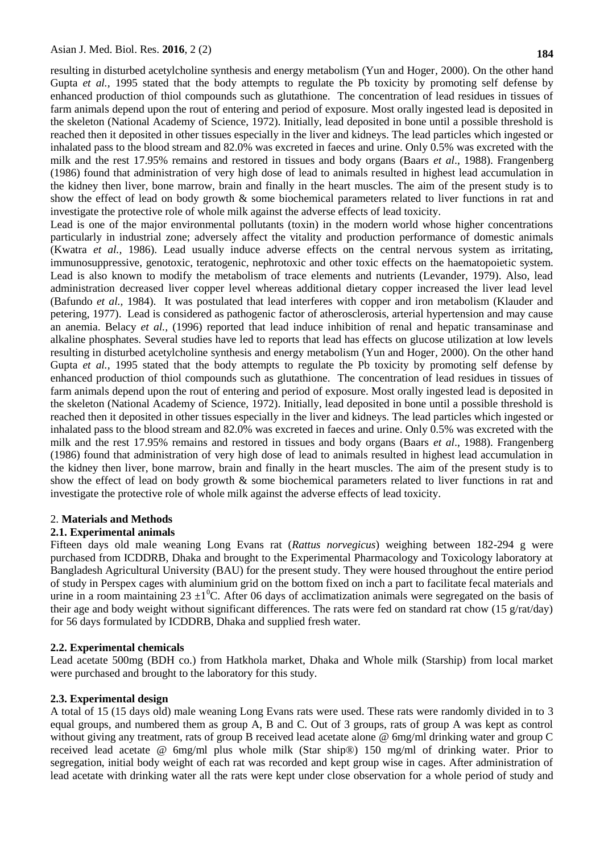resulting in disturbed acetylcholine synthesis and energy metabolism (Yun and Hoger*,* 2000). On the other hand Gupta *et al.*, 1995 stated that the body attempts to regulate the Pb toxicity by promoting self defense by enhanced production of thiol compounds such as glutathione. The concentration of lead residues in tissues of farm animals depend upon the rout of entering and period of exposure. Most orally ingested lead is deposited in the skeleton (National Academy of Science, 1972). Initially, lead deposited in bone until a possible threshold is reached then it deposited in other tissues especially in the liver and kidneys. The lead particles which ingested or inhalated pass to the blood stream and 82.0% was excreted in faeces and urine. Only 0.5% was excreted with the milk and the rest 17.95% remains and restored in tissues and body organs (Baars *et al*., 1988). Frangenberg (1986) found that administration of very high dose of lead to animals resulted in highest lead accumulation in the kidney then liver, bone marrow, brain and finally in the heart muscles. The aim of the present study is to show the effect of lead on body growth & some biochemical parameters related to liver functions in rat and investigate the protective role of whole milk against the adverse effects of lead toxicity.

Lead is one of the major environmental pollutants (toxin) in the modern world whose higher concentrations particularly in industrial zone; adversely affect the vitality and production performance of domestic animals (Kwatra *et al.,* 1986). Lead usually induce adverse effects on the central nervous system as irritating, immunosuppressive, genotoxic, teratogenic, nephrotoxic and other toxic effects on the haematopoietic system. Lead is also known to modify the metabolism of trace elements and nutrients (Levander, 1979). Also, lead administration decreased liver copper level whereas additional dietary copper increased the liver lead level (Bafundo *et al.,* 1984). It was postulated that lead interferes with copper and iron metabolism (Klauder and petering, 1977). Lead is considered as pathogenic factor of atherosclerosis, arterial hypertension and may cause an anemia. Belacy *et al.,* (1996) reported that lead induce inhibition of renal and hepatic transaminase and alkaline phosphates. Several studies have led to reports that lead has effects on glucose utilization at low levels resulting in disturbed acetylcholine synthesis and energy metabolism (Yun and Hoger*,* 2000). On the other hand Gupta *et al.*, 1995 stated that the body attempts to regulate the Pb toxicity by promoting self defense by enhanced production of thiol compounds such as glutathione. The concentration of lead residues in tissues of farm animals depend upon the rout of entering and period of exposure. Most orally ingested lead is deposited in the skeleton (National Academy of Science, 1972). Initially, lead deposited in bone until a possible threshold is reached then it deposited in other tissues especially in the liver and kidneys. The lead particles which ingested or inhalated pass to the blood stream and 82.0% was excreted in faeces and urine. Only 0.5% was excreted with the milk and the rest 17.95% remains and restored in tissues and body organs (Baars *et al*., 1988). Frangenberg (1986) found that administration of very high dose of lead to animals resulted in highest lead accumulation in the kidney then liver, bone marrow, brain and finally in the heart muscles. The aim of the present study is to show the effect of lead on body growth & some biochemical parameters related to liver functions in rat and investigate the protective role of whole milk against the adverse effects of lead toxicity.

#### 2. **Materials and Methods**

#### **2.1. Experimental animals**

Fifteen days old male weaning Long Evans rat (*Rattus norvegicus*) weighing between 182-294 g were purchased from ICDDRB, Dhaka and brought to the Experimental Pharmacology and Toxicology laboratory at Bangladesh Agricultural University (BAU) for the present study. They were housed throughout the entire period of study in Perspex cages with aluminium grid on the bottom fixed on inch a part to facilitate fecal materials and urine in a room maintaining  $23 \pm 1\degree$ C. After 06 days of acclimatization animals were segregated on the basis of their age and body weight without significant differences. The rats were fed on standard rat chow (15 g/rat/day) for 56 days formulated by ICDDRB, Dhaka and supplied fresh water.

#### **2.2. Experimental chemicals**

Lead acetate 500mg (BDH co.) from Hatkhola market, Dhaka and Whole milk (Starship) from local market were purchased and brought to the laboratory for this study.

#### **2.3. Experimental design**

A total of 15 (15 days old) male weaning Long Evans rats were used. These rats were randomly divided in to 3 equal groups, and numbered them as group A, B and C. Out of 3 groups, rats of group A was kept as control without giving any treatment, rats of group B received lead acetate alone @ 6mg/ml drinking water and group C received lead acetate @ 6mg/ml plus whole milk (Star ship®) 150 mg/ml of drinking water. Prior to segregation, initial body weight of each rat was recorded and kept group wise in cages. After administration of lead acetate with drinking water all the rats were kept under close observation for a whole period of study and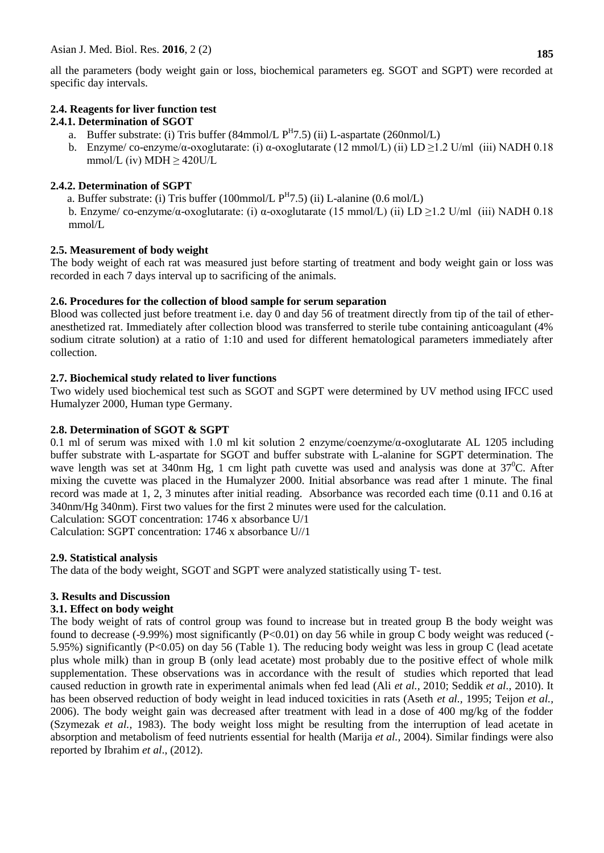all the parameters (body weight gain or loss, biochemical parameters eg. SGOT and SGPT) were recorded at specific day intervals.

# **2.4. Reagents for liver function test**

## **2.4.1. Determination of SGOT**

- a. Buffer substrate: (i) Tris buffer  $(84 \text{mmol/L P}^H 7.5)$  (ii) L-aspartate  $(260 \text{mmol/L})$
- b. Enzyme/co-enzyme/α-oxoglutarate: (i) α-oxoglutarate (12 mmol/L) (ii) LD  $\geq$ 1.2 U/ml (iii) NADH 0.18 mmol/L (iv) MDH  $\geq$  420U/L

### **2.4.2. Determination of SGPT**

a. Buffer substrate: (i) Tris buffer (100mmol/L  $P<sup>H</sup>7.5$ ) (ii) L-alanine (0.6 mol/L)

b. Enzyme/ co-enzyme/α-oxoglutarate: (i) α-oxoglutarate (15 mmol/L) (ii) LD ≥1.2 U/ml (iii) NADH 0.18 mmol/L

### **2.5. Measurement of body weight**

The body weight of each rat was measured just before starting of treatment and body weight gain or loss was recorded in each 7 days interval up to sacrificing of the animals.

### **2.6. Procedures for the collection of blood sample for serum separation**

Blood was collected just before treatment i.e. day 0 and day 56 of treatment directly from tip of the tail of etheranesthetized rat. Immediately after collection blood was transferred to sterile tube containing anticoagulant (4% sodium citrate solution) at a ratio of 1:10 and used for different hematological parameters immediately after collection.

### **2.7. Biochemical study related to liver functions**

Two widely used biochemical test such as SGOT and SGPT were determined by UV method using IFCC used Humalyzer 2000, Human type Germany.

#### **2.8. Determination of SGOT & SGPT**

0.1 ml of serum was mixed with 1.0 ml kit solution 2 enzyme/coenzyme/α-oxoglutarate AL 1205 including buffer substrate with L-aspartate for SGOT and buffer substrate with L-alanine for SGPT determination. The wave length was set at 340nm Hg, 1 cm light path cuvette was used and analysis was done at  $37^{\circ}$ C. After mixing the cuvette was placed in the Humalyzer 2000. Initial absorbance was read after 1 minute. The final record was made at 1, 2, 3 minutes after initial reading. Absorbance was recorded each time (0.11 and 0.16 at 340nm/Hg 340nm). First two values for the first 2 minutes were used for the calculation.

Calculation: SGOT concentration: 1746 x absorbance U/1

Calculation: SGPT concentration: 1746 x absorbance U//1

## **2.9. Statistical analysis**

The data of the body weight, SGOT and SGPT were analyzed statistically using T- test.

## **3. Results and Discussion**

#### **3.1. Effect on body weight**

The body weight of rats of control group was found to increase but in treated group B the body weight was found to decrease  $(-9.99\%)$  most significantly  $(P<0.01)$  on day 56 while in group C body weight was reduced  $(-1.01\%)$ 5.95%) significantly (P<0.05) on day 56 (Table 1). The reducing body weight was less in group C (lead acetate plus whole milk) than in group B (only lead acetate) most probably due to the positive effect of whole milk supplementation. These observations was in accordance with the result of studies which reported that lead caused reduction in growth rate in experimental animals when fed lead (Ali *et al.,* 2010; Seddik *et al.,* 2010). It has been observed reduction of body weight in lead induced toxicities in rats (Aseth *et al.,* 1995; Teijon *et al.,* 2006). The body weight gain was decreased after treatment with lead in a dose of 400 mg/kg of the fodder (Szymezak *et al.,* 1983). The body weight loss might be resulting from the interruption of lead acetate in absorption and metabolism of feed nutrients essential for health (Marija *et al.,* 2004). Similar findings were also reported by Ibrahim *et al*., (2012).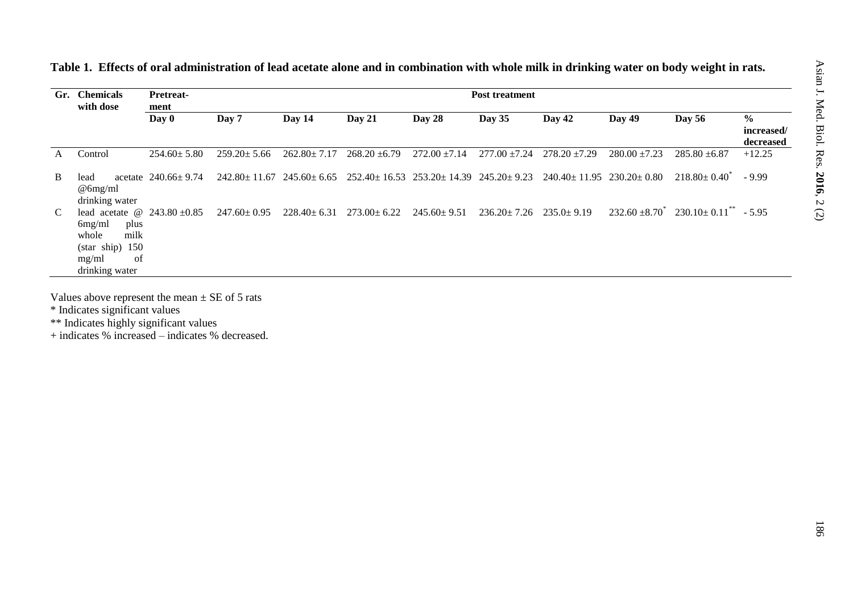| Gr. | <b>Chemicals</b><br><b>Pretreat-</b><br>with dose<br>ment                                                                 |                           |                   |                   |                                                                                              |                   | <b>Post treatment</b> |                    |                   |                               |                                          |
|-----|---------------------------------------------------------------------------------------------------------------------------|---------------------------|-------------------|-------------------|----------------------------------------------------------------------------------------------|-------------------|-----------------------|--------------------|-------------------|-------------------------------|------------------------------------------|
|     |                                                                                                                           | Day 0                     | Day 7             | Day $14$          | Day 21                                                                                       | Day 28            | Day 35                | Day 42             | Day $49$          | <b>Day 56</b>                 | $\frac{6}{6}$<br>increased/<br>decreased |
| A   | Control                                                                                                                   | $254.60 \pm 5.80$         | $259.20 \pm 5.66$ | $262.80 \pm 7.17$ | $268.20 \pm 6.79$                                                                            | $272.00 \pm 7.14$ | $277.00 \pm 7.24$     | $278.20 \pm 7.29$  | $280.00 \pm 7.23$ | $285.80 \pm 6.87$             | $+12.25$                                 |
| B   | lead<br>$\omega$ 6mg/ml<br>drinking water                                                                                 | acetate $240.66 \pm 9.74$ |                   |                   | $242.80 \pm 11.67$ $245.60 \pm 6.65$ $252.40 \pm 16.53$ $253.20 \pm 14.39$ $245.20 \pm 9.23$ |                   |                       | $240.40 \pm 11.95$ | $230.20 \pm 0.80$ | $218.80 \pm 0.40^{\circ}$     | $-9.99$                                  |
| C   | lead acetate $\omega$ 243.80 +0.85<br>6mg/ml<br>plus<br>milk<br>whole<br>(stat ship) 150<br>of<br>mg/ml<br>drinking water |                           | $247.60 \pm 0.95$ | $228.40 \pm 6.31$ | $273.00 \pm 6.22$                                                                            | $245.60 \pm 9.51$ | $236.20 \pm 7.26$     | $235.0 + 9.19$     | $232.60 \pm 8.70$ | $230.10 \pm 0.11^{**} - 5.95$ |                                          |

**Table 1. Effects of oral administration of lead acetate alone and in combination with whole milk in drinking water on body weight in rats.**

Values above represent the mean  $\pm$  SE of 5 rats

\* Indicates significant values

\*\* Indicates highly significant values

+ indicates % increased – indicates % decreased.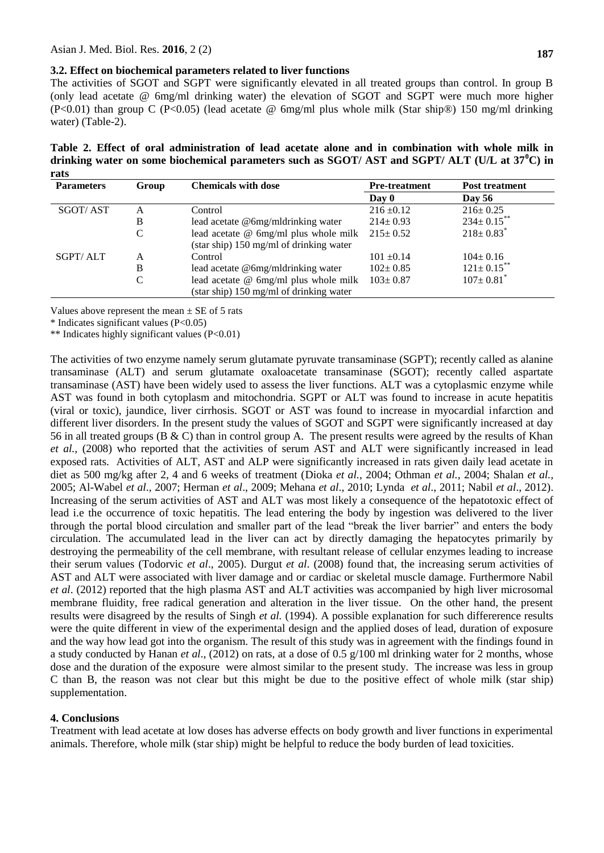#### **3.2. Effect on biochemical parameters related to liver functions**

The activities of SGOT and SGPT were significantly elevated in all treated groups than control. In group B (only lead acetate @ 6mg/ml drinking water) the elevation of SGOT and SGPT were much more higher (P<0.01) than group C (P<0.05) (lead acetate @ 6mg/ml plus whole milk (Star ship®) 150 mg/ml drinking water) (Table-2).

**Table 2. Effect of oral administration of lead acetate alone and in combination with whole milk in drinking water on some biochemical parameters such as SGOT/ AST and SGPT/ ALT (U/L at 37<sup>0</sup>C) in rats**

| <b>Parameters</b> | Group | <b>Chemicals with dose</b>              | <b>Pre-treatment</b> | <b>Post treatment</b>       |  |
|-------------------|-------|-----------------------------------------|----------------------|-----------------------------|--|
|                   |       |                                         | Day 0                | <b>Day 56</b>               |  |
| <b>SGOT/AST</b>   | A     | Control                                 | $216 \pm 0.12$       | $216 \pm 0.25$              |  |
|                   | B     | lead acetate @6mg/mldrinking water      | $214 \pm 0.93$       | $234 \pm 0.15$ **           |  |
|                   | C     | lead acetate @ 6mg/ml plus whole milk   | $215 \pm 0.52$       | $218 \pm 0.83$ <sup>*</sup> |  |
|                   |       | (star ship) 150 mg/ml of drinking water |                      |                             |  |
| SGPT/ALT          | A     | Control                                 | $101 \pm 0.14$       | $104 \pm 0.16$              |  |
|                   | B     | lead acetate @6mg/mldrinking water      | $102 \pm 0.85$       | $121 \pm 0.15$ **           |  |
|                   | C     | lead acetate @ 6mg/ml plus whole milk   | $103 \pm 0.87$       | $107 \pm 0.81$              |  |
|                   |       | (star ship) 150 mg/ml of drinking water |                      |                             |  |

Values above represent the mean  $\pm$  SE of 5 rats

\* Indicates significant values (P<0.05)

\*\* Indicates highly significant values (P<0.01)

The activities of two enzyme namely serum glutamate pyruvate transaminase (SGPT); recently called as alanine transaminase (ALT) and serum glutamate oxaloacetate transaminase (SGOT); recently called aspartate transaminase (AST) have been widely used to assess the liver functions. ALT was a cytoplasmic enzyme while AST was found in both cytoplasm and mitochondria. SGPT or ALT was found to increase in acute hepatitis (viral or toxic), jaundice, liver cirrhosis. SGOT or AST was found to increase in myocardial infarction and different liver disorders. In the present study the values of SGOT and SGPT were significantly increased at day 56 in all treated groups ( $B \& C$ ) than in control group A. The present results were agreed by the results of Khan *et al.,* (2008) who reported that the activities of serum AST and ALT were significantly increased in lead exposed rats. Activities of ALT, AST and ALP were significantly increased in rats given daily lead acetate in diet as 500 mg/kg after 2, 4 and 6 weeks of treatment (Dioka *et al.*, 2004; Othman *et al.*, 2004; Shalan *et al.,* 2005; Al-Wabel *et al*., 2007; Herman *et al*., 2009; Mehana *et al*., 2010; Lynda *et al*., 2011; Nabil *et al*., 2012). Increasing of the serum activities of AST and ALT was most likely a consequence of the hepatotoxic effect of lead i.e the occurrence of toxic hepatitis. The lead entering the body by ingestion was delivered to the liver through the portal blood circulation and smaller part of the lead "break the liver barrier" and enters the body circulation. The accumulated lead in the liver can act by directly damaging the hepatocytes primarily by destroying the permeability of the cell membrane, with resultant release of cellular enzymes leading to increase their serum values (Todorvic *et al*., 2005). Durgut *et al*. (2008) found that, the increasing serum activities of AST and ALT were associated with liver damage and or cardiac or skeletal muscle damage. Furthermore Nabil *et al*. (2012) reported that the high plasma AST and ALT activities was accompanied by high liver microsomal membrane fluidity, free radical generation and alteration in the liver tissue. On the other hand, the present results were disagreed by the results of Singh *et al.* (1994). A possible explanation for such differerence results were the quite different in view of the experimental design and the applied doses of lead, duration of exposure and the way how lead got into the organism. The result of this study was in agreement with the findings found in a study conducted by Hanan *et al*., (2012) on rats, at a dose of 0.5 g/100 ml drinking water for 2 months, whose dose and the duration of the exposure were almost similar to the present study. The increase was less in group C than B, the reason was not clear but this might be due to the positive effect of whole milk (star ship) supplementation.

#### **4. Conclusions**

Treatment with lead acetate at low doses has adverse effects on body growth and liver functions in experimental animals. Therefore, whole milk (star ship) might be helpful to reduce the body burden of lead toxicities.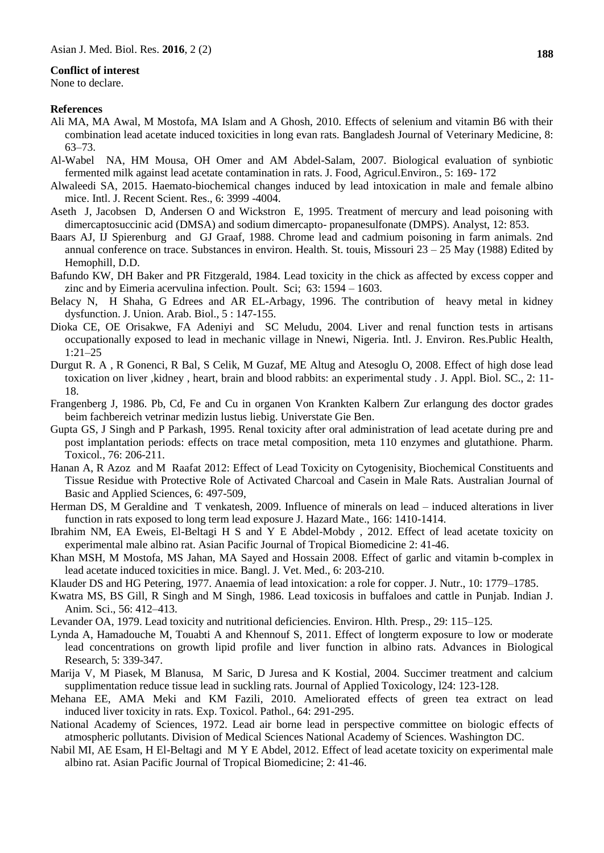#### **Conflict of interest**

None to declare.

#### **References**

- Ali MA, MA Awal, M Mostofa, MA Islam and A Ghosh, 2010. Effects of selenium and vitamin B6 with their combination lead acetate induced toxicities in long evan rats. Bangladesh Journal of Veterinary Medicine, 8: 63–73.
- Al-Wabel NA, HM Mousa, OH Omer and AM Abdel-Salam, 2007. Biological evaluation of synbiotic fermented milk against lead acetate contamination in rats. J. Food, Agricul.Environ., 5: 169- 172
- Alwaleedi SA, 2015. Haemato-biochemical changes induced by lead intoxication in male and female albino mice. Intl. J. Recent Scient. Res., 6: 3999 -4004.
- Aseth J, Jacobsen D, Andersen O and Wickstron E, 1995. Treatment of mercury and lead poisoning with dimercaptosuccinic acid (DMSA) and sodium dimercapto- propanesulfonate (DMPS). Analyst, 12: 853.
- Baars AJ, IJ Spierenburg and GJ Graaf, 1988. Chrome lead and cadmium poisoning in farm animals. 2nd annual conference on trace. Substances in environ. Health. St. touis, Missouri  $23 - 25$  May (1988) Edited by Hemophill, D.D.
- Bafundo KW, DH Baker and PR Fitzgerald, 1984. Lead toxicity in the chick as affected by excess copper and zinc and by Eimeria acervulina infection. Poult. Sci; 63: 1594 – 1603.
- Belacy N, H Shaha, G Edrees and AR EL-Arbagy, 1996. The contribution of heavy metal in kidney dysfunction. J. Union. Arab. Biol., 5 : 147-155.
- Dioka CE, OE Orisakwe, FA Adeniyi and SC Meludu, 2004. Liver and renal function tests in artisans occupationally exposed to lead in mechanic village in Nnewi, Nigeria. Intl. J. Environ. Res.Public Health, 1:21–25
- Durgut R. A , R Gonenci, R Bal, S Celik, M Guzaf, ME Altug and Atesoglu O, 2008. Effect of high dose lead toxication on liver ,kidney , heart, brain and blood rabbits: an experimental study . J. Appl. Biol. SC., 2: 11- 18.
- Frangenberg J, 1986. Pb, Cd, Fe and Cu in organen Von Krankten Kalbern Zur erlangung des doctor grades beim fachbereich vetrinar medizin lustus liebig. Universtate Gie Ben.
- Gupta GS, J Singh and P Parkash, 1995. Renal toxicity after oral administration of lead acetate during pre and post implantation periods: effects on trace metal composition, meta 110 enzymes and glutathione. Pharm. Toxicol*.*, 76: 206-211.
- Hanan A, R Azoz and M Raafat 2012: Effect of Lead Toxicity on Cytogenisity, Biochemical Constituents and Tissue Residue with Protective Role of Activated Charcoal and Casein in Male Rats. Australian Journal of Basic and Applied Sciences, 6: 497-509,
- Herman DS, M Geraldine and T venkatesh, 2009. Influence of minerals on lead induced alterations in liver function in rats exposed to long term lead exposure J. Hazard Mate., 166: 1410-1414.
- Ibrahim NM, EA Eweis, El-Beltagi H S and Y E Abdel-Mobdy , 2012. Effect of lead acetate toxicity on experimental male albino rat. Asian Pacific Journal of Tropical Biomedicine 2: 41-46.
- Khan MSH, M Mostofa, MS Jahan, MA Sayed and Hossain 2008. Effect of garlic and vitamin b-complex in lead acetate induced toxicities in mice. Bangl. J. Vet. Med., 6: 203-210.
- Klauder DS and HG Petering, 1977. Anaemia of lead intoxication: a role for copper. J. Nutr., 10: 1779–1785.
- Kwatra MS, BS Gill, R Singh and M Singh, 1986. Lead toxicosis in buffaloes and cattle in Punjab. Indian J. Anim. Sci., 56: 412–413.
- Levander OA, 1979. Lead toxicity and nutritional deficiencies. Environ. Hlth. Presp., 29: 115–125.
- Lynda A, Hamadouche M, Touabti A and Khennouf S, 2011. Effect of longterm exposure to low or moderate lead concentrations on growth lipid profile and liver function in albino rats. Advances in Biological Research, 5: 339-347.
- Marija V, M Piasek, M Blanusa, M Saric, D Juresa and K Kostial, 2004. Succimer treatment and calcium supplimentation reduce tissue lead in suckling rats. Journal of Applied Toxicology, l24: 123-128.
- Mehana EE, AMA Meki and KM Fazili, 2010. Ameliorated effects of green tea extract on lead induced liver toxicity in rats. Exp. Toxicol. Pathol., 64: 291-295.
- National Academy of Sciences, 1972. Lead air borne lead in perspective committee on biologic effects of atmospheric pollutants. Division of Medical Sciences National Academy of Sciences. Washington DC.
- Nabil MI, AE Esam, H El-Beltagi and M Y E Abdel, 2012. Effect of lead acetate toxicity on experimental male albino rat. Asian Pacific Journal of Tropical Biomedicine; 2: 41-46.